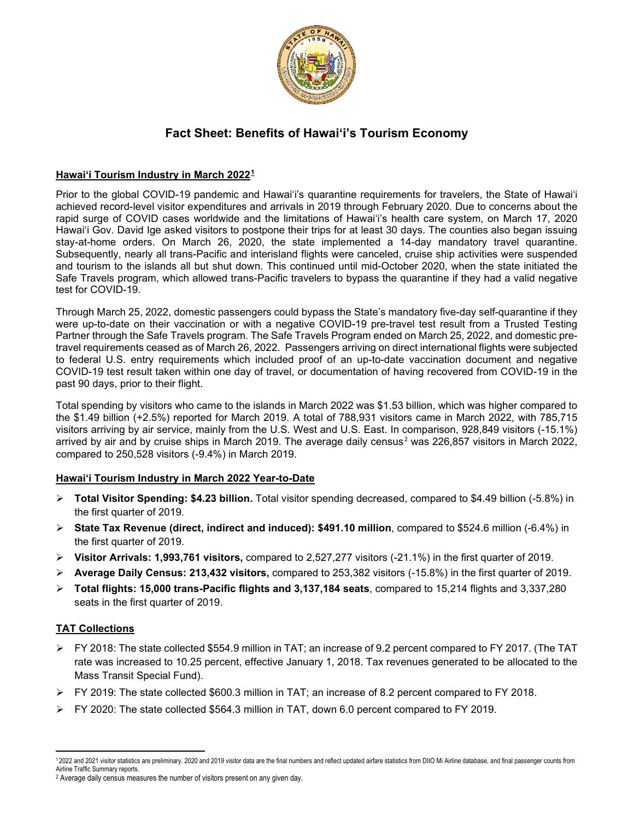

# **Fact Sheet: Benefits of Hawai'i's Tourism Economy**

### **Hawai'i Tourism Industry in March 2022[1](#page-0-0)**

Prior to the global COVID-19 pandemic and Hawai'i's quarantine requirements for travelers, the State of Hawai'i achieved record-level visitor expenditures and arrivals in 2019 through February 2020. Due to concerns about the rapid surge of COVID cases worldwide and the limitations of Hawai'i's health care system, on March 17, 2020 Hawai'i Gov. David Ige asked visitors to [postpone their trips](https://www.staradvertiser.com/2020/03/17/breaking-news/hawaii-records-4-more-cases-of-coronavirus-including-big-islands-first-case/) for at least 30 days. The counties also began issuing stay-at-home orders. On March 26, 2020, the state implemented a 14-day mandatory travel quarantine. Subsequently, nearly all trans-Pacific and interisland flights were canceled, cruise ship activities were suspended and tourism to the islands all but shut down. This continued until mid-October 2020, when the state initiated the Safe Travels program, which allowed trans-Pacific travelers to bypass the quarantine if they had a valid negative test for COVID-19.

Through March 25, 2022, domestic passengers could bypass the State's mandatory five-day self-quarantine if they were up-to-date on their vaccination or with a negative COVID-19 pre-travel test result from a Trusted Testing Partner through the Safe Travels program. The Safe Travels Program ended on March 25, 2022, and domestic pretravel requirements ceased as of March 26, 2022. Passengers arriving on direct international flights were subjected to federal U.S. entry requirements which included proof of an up-to-date vaccination document and negative COVID-19 test result taken within one day of travel, or documentation of having recovered from COVID-19 in the past 90 days, prior to their flight.

Total spending by visitors who came to the islands in March 2022 was \$1.53 billion, which was higher compared to the \$1.49 billion (+2.5%) reported for March 2019. A total of 788,931 visitors came in March 2022, with 785,715 visitors arriving by air service, mainly from the U.S. West and U.S. East. In comparison, 928,849 visitors (-15.1%) arrived by air and by cruise ships in March [2](#page-0-1)019. The average daily census<sup>2</sup> was 226,857 visitors in March 2022, compared to 250,528 visitors (-9.4%) in March 2019.

#### **Hawai'i Tourism Industry in March 2022 Year-to-Date**

- **Total Visitor Spending: \$4.23 billion.** Total visitor spending decreased, compared to \$4.49 billion (-5.8%) in the first quarter of 2019.
- **State Tax Revenue (direct, indirect and induced): \$491.10 million**, compared to \$524.6 million (-6.4%) in the first quarter of 2019.
- **Visitor Arrivals: 1,993,761 visitors,** compared to 2,527,277 visitors (-21.1%) in the first quarter of 2019.
- **Average Daily Census: 213,432 visitors,** compared to 253,382 visitors (-15.8%) in the first quarter of 2019.
- **Total flights: 15,000 trans-Pacific flights and 3,137,184 seats**, compared to 15,214 flights and 3,337,280 seats in the first quarter of 2019.

#### **TAT Collections**

- FY 2018: The state collected \$554.9 million in TAT; an increase of 9.2 percent compared to FY 2017. (The TAT rate was increased to 10.25 percent, effective January 1, 2018. Tax revenues generated to be allocated to the Mass Transit Special Fund).
- $\triangleright$  FY 2019: The state collected \$600.3 million in TAT; an increase of 8.2 percent compared to FY 2018.
- $\triangleright$  FY 2020: The state collected \$564.3 million in TAT, down 6.0 percent compared to FY 2019.

<span id="page-0-0"></span><sup>1 2022</sup> and 2021 visitor statistics are preliminary. 2020 and 2019 visitor data are the final numbers and reflect updated airfare statistics from DIIO Mi Airline database, and final passenger counts from Airline Traffic Summary reports.<br><sup>2</sup> Average daily census measures the number of visitors present on any given day.

<span id="page-0-1"></span>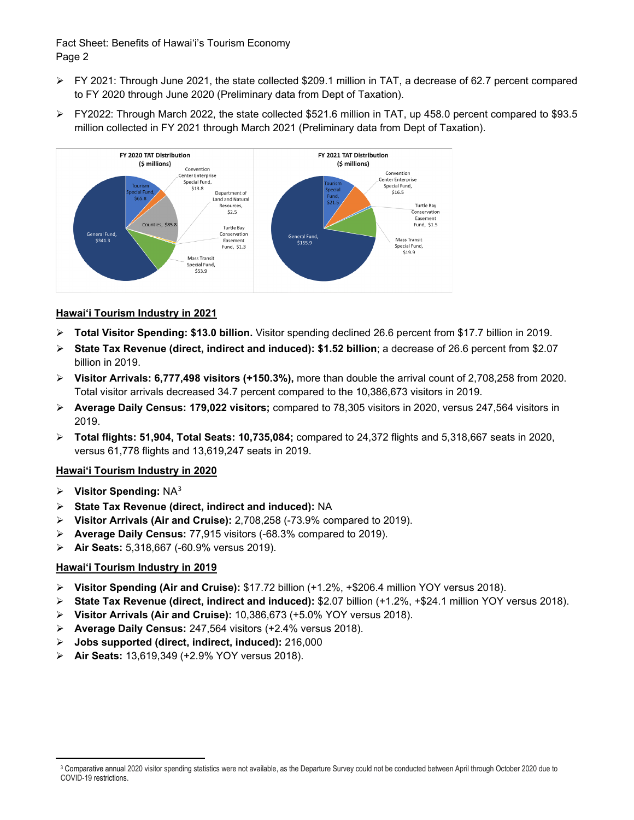### Fact Sheet: Benefits of Hawai'i's Tourism Economy Page 2

- FY 2021: Through June 2021, the state collected \$209.1 million in TAT, a decrease of 62.7 percent compared to FY 2020 through June 2020 (Preliminary data from Dept of Taxation).
- FY2022: Through March 2022, the state collected \$521.6 million in TAT, up 458.0 percent compared to \$93.5 million collected in FY 2021 through March 2021 (Preliminary data from Dept of Taxation).



### **Hawai'i Tourism Industry in 2021**

- **Total Visitor Spending: \$13.0 billion.** Visitor spending declined 26.6 percent from \$17.7 billion in 2019.
- **State Tax Revenue (direct, indirect and induced): \$1.52 billion**; a decrease of 26.6 percent from \$2.07 billion in 2019.
- **Visitor Arrivals: 6,777,498 visitors (+150.3%),** more than double the arrival count of 2,708,258 from 2020. Total visitor arrivals decreased 34.7 percent compared to the 10,386,673 visitors in 2019.
- **Average Daily Census: 179,022 visitors;** compared to 78,305 visitors in 2020, versus 247,564 visitors in 2019.
- **Total flights: 51,904, Total Seats: 10,735,084;** compared to 24,372 flights and 5,318,667 seats in 2020, versus 61,778 flights and 13,619,247 seats in 2019.

#### **Hawai'i Tourism Industry in 2020**

- **Visitor Spending:** NA[3](#page-1-0)
- **State Tax Revenue (direct, indirect and induced):** NA
- **Visitor Arrivals (Air and Cruise):** 2,708,258 (-73.9% compared to 2019).
- **Average Daily Census:** 77,915 visitors (-68.3% compared to 2019).
- **Air Seats:** 5,318,667 (-60.9% versus 2019).

#### **Hawai'i Tourism Industry in 2019**

- **Visitor Spending (Air and Cruise):** \$17.72 billion (+1.2%, +\$206.4 million YOY versus 2018).
- **State Tax Revenue (direct, indirect and induced):** \$2.07 billion (+1.2%, +\$24.1 million YOY versus 2018).
- **Visitor Arrivals (Air and Cruise):** 10,386,673 (+5.0% YOY versus 2018).
- **Average Daily Census:** 247,564 visitors (+2.4% versus 2018).
- **Jobs supported (direct, indirect, induced):** 216,000
- **Air Seats:** 13,619,349 (+2.9% YOY versus 2018).

<span id="page-1-0"></span><sup>&</sup>lt;sup>3</sup> Comparative annual 2020 visitor spending statistics were not available, as the Departure Survey could not be conducted between April through October 2020 due to COVID-19 restrictions.